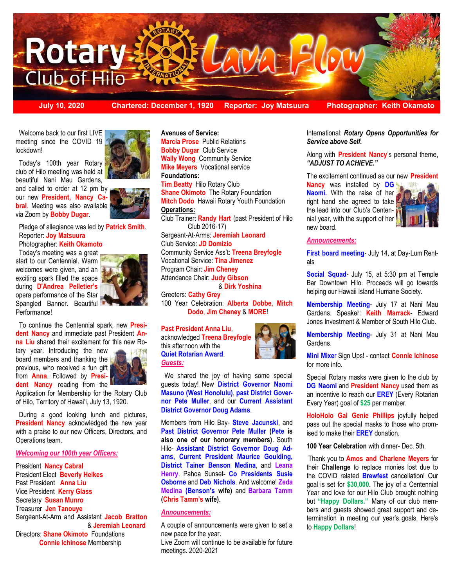

**July 10, 2020 Chartered: December 1, 1920 Reporter: Joy Matsuura Photographer: Keith Okamoto**

 Welcome back to our first LIVE meeting since the COVID 19 lockdown!

 Today's 100th year Rotary club of Hilo meeting was held at beautiful Nani Mau Gardens,

and called to order at 12 pm by our new **President, Nancy Cabral**. Meeting was also available via Zoom by **Bobby Dugar**.

 Pledge of allegiance was led by **Patrick Smith**. Reporter: **Joy Matsuura**

Photographer: **Keith Okamoto**

Today's meeting was a great start to our Centennial. Warm welcomes were given, and an exciting spark filled the space during **D'Andrea Pelletier's** opera performance of the Star Spangled Banner. Beautiful Performance!



 To continue the Centennial spark, new **President Nancy** and immediate past President **Anna Liu** shared their excitement for this new Ro-

tary year. Introducing the new board members and thanking the previous, who received a fun gift from **Anna**. Followed by **President Nancy** reading from the



Application for Membership for the Rotary Club of Hilo, Territory of Hawai'i, July 13, 1920.

 During a good looking lunch and pictures, **President Nancy** acknowledged the new year with a praise to our new Officers, Directors, and Operations team.

### *Welcoming our 100th year Officers:*

President **Nancy Cabral**  President Elect **Beverly Heikes**  Past President **Anna Liu** Vice President **Kerry Glass**  Secretary **Susan Munro**  Treasurer **Jen Tanouye**  Sergeant-At-Arm and Assistant **Jacob Bratton** & **Jeremiah Leonard** Directors: **Shane Okimoto** Foundations **Connie Ichinose** Membership

**Avenues of Service: Marcia Prose** Public Relations **Bobby Dugar Club Service Wally Wong** Community Service **Mike Meyers** Vocational service **Foundations: Tim Beatty** Hilo Rotary Club **Shane Okimoto** The Rotary Foundation **Mitch Dodo** Hawaii Rotary Youth Foundation **Operations:** Club Trainer: **Randy Hart** (past President of Hilo Club 2016-17) Sergeant-At-Arms: **Jeremiah Leonard** Club Service: **JD Domizio** Community Service Ass't: **Treena Breyfogle**  Vocational Service: **Tina Jimenez**  Program Chair: **Jim Cheney**  Attendance Chair: **Judy Gibson** 

& **Dirk Yoshina** 

Greeters: **Cathy Grey**  100 Year Celebration: **Alberta Dobbe**, **Mitch Dodo**, **Jim Cheney** & **MORE**!

#### **Past President Anna Liu**,

acknowledged **Treena Breyfogle** this afternoon with the **Quiet Rotarian Award**. *Guests:*



 We shared the joy of having some special guests today! New **District Governor Naomi Masuno (West Honolulu)**, **past District Governor Pete Muller**, and our **Current Assistant District Governor Doug Adams**.

Members from Hilo Bay- **Steve Jacunski**, and **Past District Governor Pete Muller (Pete is also one of our honorary members)**. South Hilo- **Assistant District Governor Doug Adams, Current President Maurice Goulding, District Tainer Benson Medina**, and **Leana Henry**. Pahoa Sunset- **Co Presidents Susie Osborne** and **Deb Nichols**. And welcome! **Zeda Medina (Benson's wife)** and **Barbara Tamm (Chris Tamm's wife)**.

### *Announcements:*

A couple of announcements were given to set a new pace for the year.

Live Zoom will continue to be available for future meetings. 2020-2021

International: *Rotary Opens Opportunities for Service above Self.* 

Along with **President Nancy**'s personal theme, *"ADJUST TO ACHIEVE."* 

The excitement continued as our new **President** 

**Nancy** was installed by **DG Naomi.** With the raise of her right hand she agreed to take the lead into our Club's Centennial year, with the support of her new board.



#### *Announcements:*

**First board meeting**- July 14, at Day-Lum Rentals

**Social Squad**- July 15, at 5:30 pm at Temple Bar Downtown Hilo. Proceeds will go towards helping our Hawaii Island Humane Society.

**Membership Meeting**- July 17 at Nani Mau Gardens. Speaker: **Keith Marrack**- Edward Jones Investment & Member of South Hilo Club.

**Membership Meeting**- July 31 at Nani Mau Gardens.

**Mini Mixe**r Sign Ups! - contact **Connie Ichinose** for more info.

Special Rotary masks were given to the club by **DG Naomi** and **President Nancy** used them as an incentive to reach our **EREY** (Every Rotarian Every Year) goal of **\$25** per member.

**HoloHolo Gal Genie Phillips** joyfully helped pass out the special masks to those who promised to make their **EREY** donation.

**100 Year Celebration** with dinner- Dec. 5th.

Thank you to **Amos and Charlene Meyers** for their **Challenge** to replace monies lost due to the COVID related **Brewfest** cancellation! Our goal is set for **\$30,000**. The joy of a Centennial Year and love for our Hilo Club brought nothing but **"Happy Dollars."** Many of our club members and guests showed great support and determination in meeting our year's goals. Here's to **Happy Dollars**!